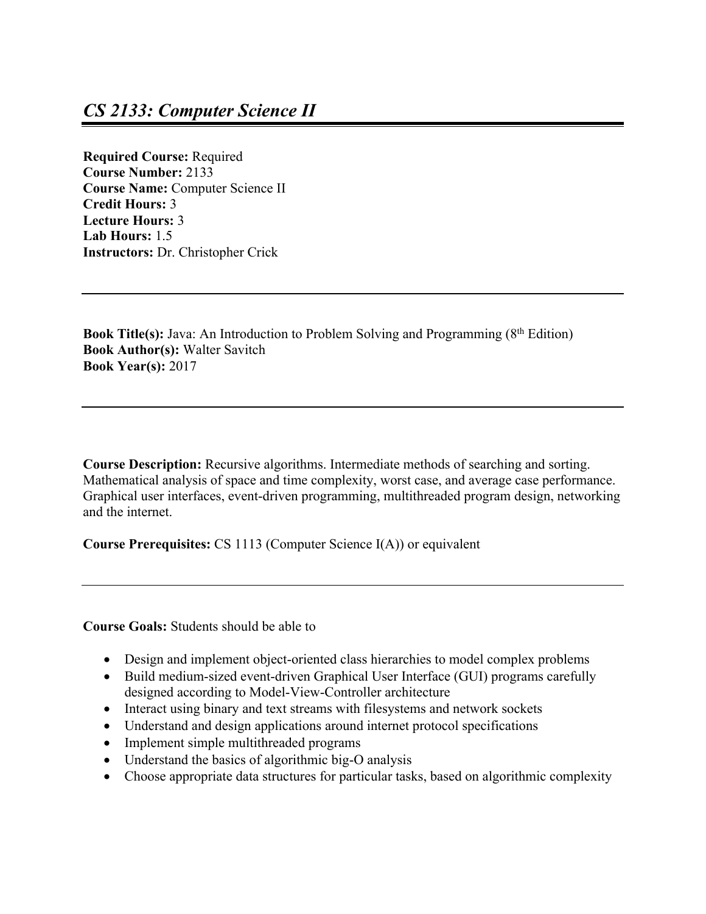**Required Course:** Required **Course Number:** 2133 **Course Name:** Computer Science II **Credit Hours:** 3 **Lecture Hours:** 3 **Lab Hours:** 1.5 **Instructors:** Dr. Christopher Crick

**Book Title(s):** Java: An Introduction to Problem Solving and Programming (8<sup>th</sup> Edition) **Book Author(s):** Walter Savitch **Book Year(s):** 2017

**Course Description:** Recursive algorithms. Intermediate methods of searching and sorting. Mathematical analysis of space and time complexity, worst case, and average case performance. Graphical user interfaces, event-driven programming, multithreaded program design, networking and the internet.

**Course Prerequisites:** CS 1113 (Computer Science I(A)) or equivalent

**Course Goals:** Students should be able to

- Design and implement object-oriented class hierarchies to model complex problems
- Build medium-sized event-driven Graphical User Interface (GUI) programs carefully designed according to Model-View-Controller architecture
- Interact using binary and text streams with filesystems and network sockets
- Understand and design applications around internet protocol specifications
- Implement simple multithreaded programs
- Understand the basics of algorithmic big-O analysis
- Choose appropriate data structures for particular tasks, based on algorithmic complexity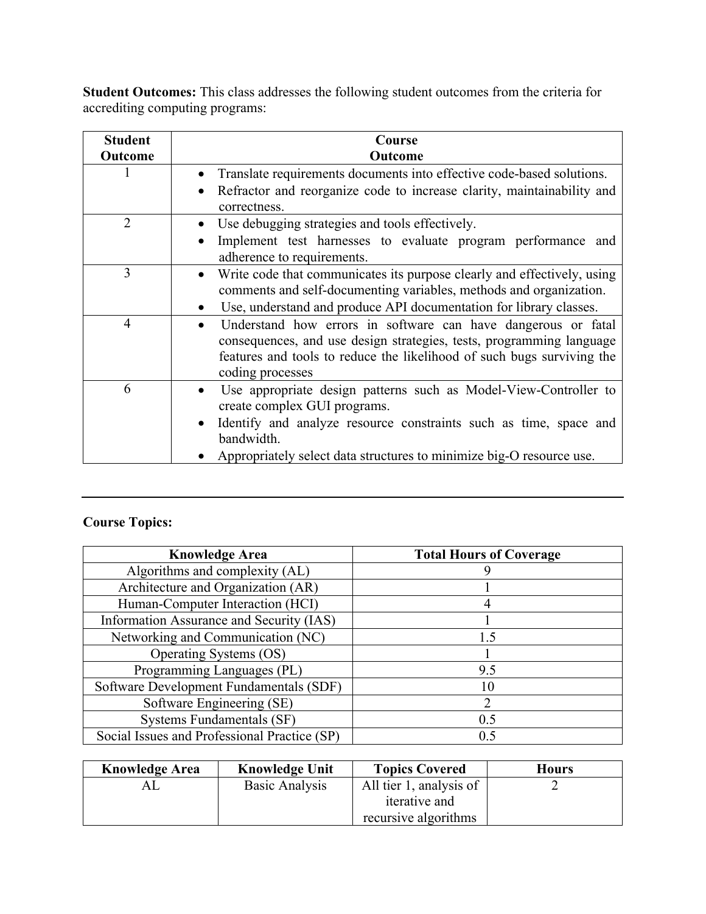**Student Outcomes:** This class addresses the following student outcomes from the criteria for accrediting computing programs:

| <b>Student</b><br>Outcome | Course<br>Outcome                                                                                                                                                                                                                                |
|---------------------------|--------------------------------------------------------------------------------------------------------------------------------------------------------------------------------------------------------------------------------------------------|
|                           | Translate requirements documents into effective code-based solutions.<br>$\bullet$                                                                                                                                                               |
|                           | Refractor and reorganize code to increase clarity, maintainability and<br>$\bullet$<br>correctness.                                                                                                                                              |
| $\overline{2}$            | Use debugging strategies and tools effectively.<br>$\bullet$                                                                                                                                                                                     |
|                           | Implement test harnesses to evaluate program performance and<br>$\bullet$<br>adherence to requirements.                                                                                                                                          |
| 3                         | Write code that communicates its purpose clearly and effectively, using<br>$\bullet$<br>comments and self-documenting variables, methods and organization.                                                                                       |
|                           | Use, understand and produce API documentation for library classes.                                                                                                                                                                               |
| $\overline{4}$            | Understand how errors in software can have dangerous or fatal<br>$\bullet$<br>consequences, and use design strategies, tests, programming language<br>features and tools to reduce the likelihood of such bugs surviving the<br>coding processes |
| 6                         | Use appropriate design patterns such as Model-View-Controller to<br>create complex GUI programs.                                                                                                                                                 |
|                           | Identify and analyze resource constraints such as time, space and<br>$\bullet$<br>bandwidth.                                                                                                                                                     |
|                           | Appropriately select data structures to minimize big-O resource use.                                                                                                                                                                             |

## **Course Topics:**

| <b>Knowledge Area</b>                        | <b>Total Hours of Coverage</b> |
|----------------------------------------------|--------------------------------|
| Algorithms and complexity (AL)               |                                |
| Architecture and Organization (AR)           |                                |
| Human-Computer Interaction (HCI)             |                                |
| Information Assurance and Security (IAS)     |                                |
| Networking and Communication (NC)            | 1.5                            |
| Operating Systems (OS)                       |                                |
| Programming Languages (PL)                   | 9.5                            |
| Software Development Fundamentals (SDF)      | 10                             |
| Software Engineering (SE)                    | 2                              |
| Systems Fundamentals (SF)                    | 0.5                            |
| Social Issues and Professional Practice (SP) | 0.5                            |

| <b>Knowledge Area</b> | <b>Knowledge Unit</b> | <b>Topics Covered</b>   | <b>Hours</b> |
|-----------------------|-----------------------|-------------------------|--------------|
|                       | Basic Analysis        | All tier 1, analysis of |              |
|                       |                       | iterative and           |              |
|                       |                       | recursive algorithms    |              |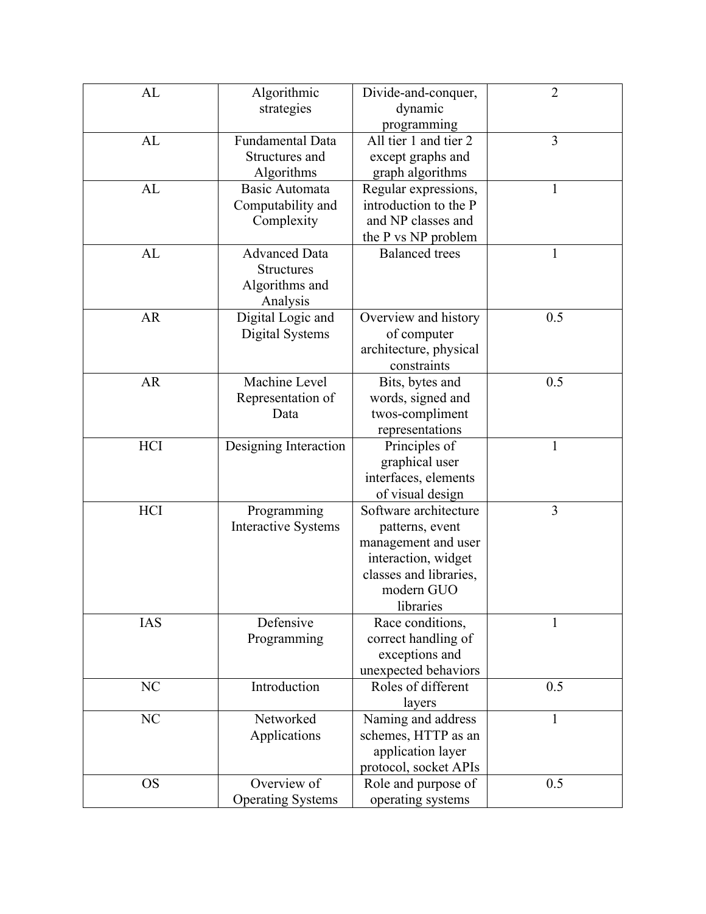| AL        | Algorithmic                | Divide-and-conquer,    | $\overline{2}$ |
|-----------|----------------------------|------------------------|----------------|
|           | strategies                 | dynamic                |                |
|           |                            | programming            |                |
| AL        | <b>Fundamental Data</b>    | All tier 1 and tier 2  | $\overline{3}$ |
|           | Structures and             | except graphs and      |                |
|           | Algorithms                 | graph algorithms       |                |
| AL        | Basic Automata             | Regular expressions,   | 1              |
|           | Computability and          | introduction to the P  |                |
|           | Complexity                 | and NP classes and     |                |
|           |                            | the P vs NP problem    |                |
| AL        | <b>Advanced Data</b>       | <b>Balanced</b> trees  | $\mathbf{1}$   |
|           | <b>Structures</b>          |                        |                |
|           | Algorithms and             |                        |                |
|           | Analysis                   |                        |                |
| <b>AR</b> | Digital Logic and          | Overview and history   | 0.5            |
|           | Digital Systems            | of computer            |                |
|           |                            | architecture, physical |                |
|           |                            | constraints            |                |
| <b>AR</b> | Machine Level              | Bits, bytes and        | 0.5            |
|           | Representation of          | words, signed and      |                |
|           | Data                       | twos-compliment        |                |
|           |                            | representations        |                |
| HCI       | Designing Interaction      | Principles of          | 1              |
|           |                            | graphical user         |                |
|           |                            | interfaces, elements   |                |
|           |                            | of visual design       |                |
| HCI       | Programming                | Software architecture  | $\overline{3}$ |
|           | <b>Interactive Systems</b> | patterns, event        |                |
|           |                            | management and user    |                |
|           |                            | interaction, widget    |                |
|           |                            | classes and libraries, |                |
|           |                            | modern GUO             |                |
|           |                            | libraries              |                |
| IAS       | Defensive                  | Race conditions,       | 1              |
|           | Programming                | correct handling of    |                |
|           |                            | exceptions and         |                |
|           |                            | unexpected behaviors   |                |
| NC        | Introduction               | Roles of different     | 0.5            |
|           |                            | layers                 |                |
| NC        | Networked                  | Naming and address     | $\mathbf{1}$   |
|           | Applications               | schemes, HTTP as an    |                |
|           |                            | application layer      |                |
|           |                            | protocol, socket APIs  |                |
| <b>OS</b> | Overview of                | Role and purpose of    | 0.5            |
|           | <b>Operating Systems</b>   | operating systems      |                |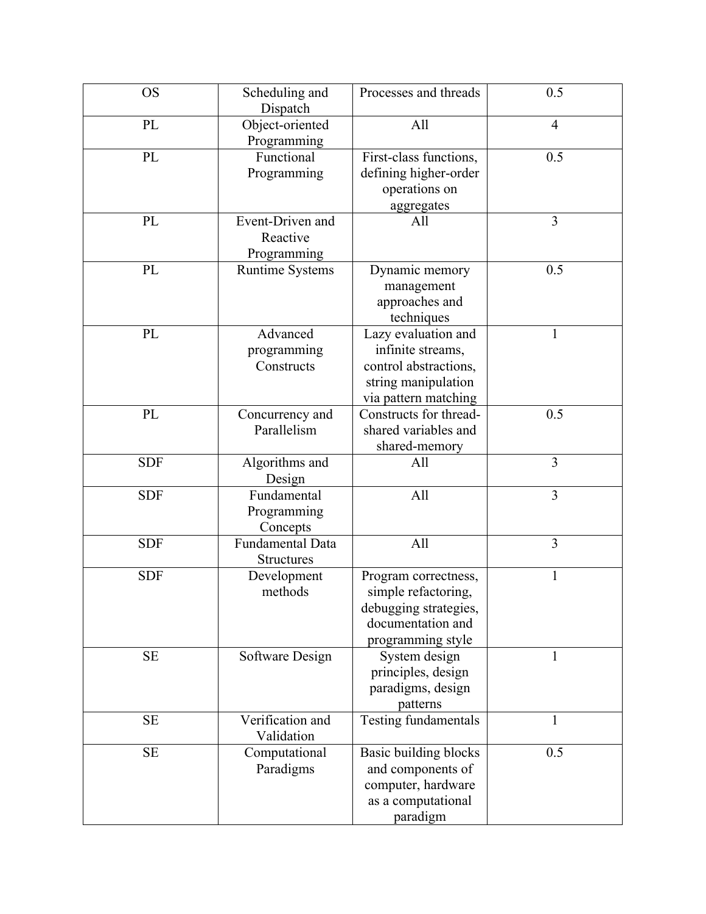| <b>OS</b>  | Scheduling and<br>Dispatch                  | Processes and threads                                                                                            | 0.5            |
|------------|---------------------------------------------|------------------------------------------------------------------------------------------------------------------|----------------|
| PL         | Object-oriented<br>Programming              | All                                                                                                              | $\overline{4}$ |
| PL         | Functional<br>Programming                   | First-class functions,<br>defining higher-order<br>operations on<br>aggregates                                   | 0.5            |
| PL         | Event-Driven and<br>Reactive<br>Programming | All                                                                                                              | 3              |
| PL         | <b>Runtime Systems</b>                      | Dynamic memory<br>management<br>approaches and<br>techniques                                                     | 0.5            |
| PL         | Advanced<br>programming<br>Constructs       | Lazy evaluation and<br>infinite streams,<br>control abstractions,<br>string manipulation<br>via pattern matching | $\mathbf{1}$   |
| PL         | Concurrency and<br>Parallelism              | Constructs for thread-<br>shared variables and<br>shared-memory                                                  | 0.5            |
| <b>SDF</b> | Algorithms and<br>Design                    | All                                                                                                              | $\overline{3}$ |
| <b>SDF</b> | Fundamental<br>Programming<br>Concepts      | All                                                                                                              | 3              |
| <b>SDF</b> | Fundamental Data<br><b>Structures</b>       | All                                                                                                              | 3              |
| <b>SDF</b> | Development<br>methods                      | Program correctness,<br>simple refactoring,<br>debugging strategies,<br>documentation and<br>programming style   | 1              |
| <b>SE</b>  | Software Design                             | System design<br>principles, design<br>paradigms, design<br>patterns                                             | 1              |
| <b>SE</b>  | Verification and<br>Validation              | Testing fundamentals                                                                                             | $\mathbf{1}$   |
| <b>SE</b>  | Computational<br>Paradigms                  | Basic building blocks<br>and components of<br>computer, hardware<br>as a computational<br>paradigm               | 0.5            |